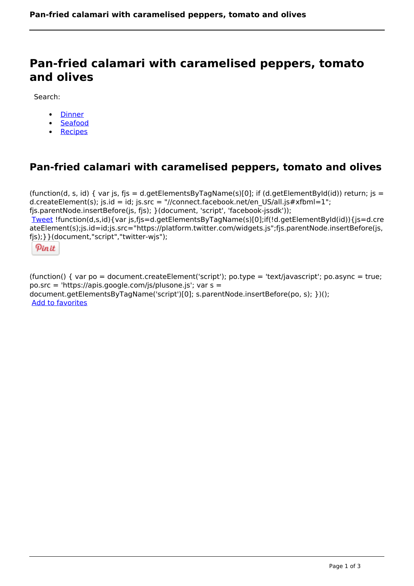# **Pan-fried calamari with caramelised peppers, tomato and olives**

Search:

- [Dinner](https://www.naturalhealthmag.com.au/nourish/dinner-ideas)
- [Seafood](https://www.naturalhealthmag.com.au/nourish/seafood)
- [Recipes](https://www.naturalhealthmag.com.au/nourish/recipes)

# **Pan-fried calamari with caramelised peppers, tomato and olives**

(function(d, s, id) { var js, fjs = d.getElementsByTagName(s)[0]; if (d.getElementById(id)) return; js = d.createElement(s); js.id = id; js.src = "//connect.facebook.net/en\_US/all.js#xfbml=1"; fjs.parentNode.insertBefore(js, fjs); }(document, 'script', 'facebook-jssdk')); [Tweet](https://twitter.com/share) !function(d,s,id){var js,fjs=d.getElementsByTagName(s)[0];if(!d.getElementById(id)){js=d.cre ateElement(s);js.id=id;js.src="https://platform.twitter.com/widgets.js";fjs.parentNode.insertBefore(js, fjs);}}(document,"script","twitter-wjs");



(function() { var po = document.createElement('script'); po.type = 'text/javascript'; po.async = true; po.src = 'https://apis.google.com/js/plusone.js'; var s = document.getElementsByTagName('script')[0]; s.parentNode.insertBefore(po, s); })(); Add to favorites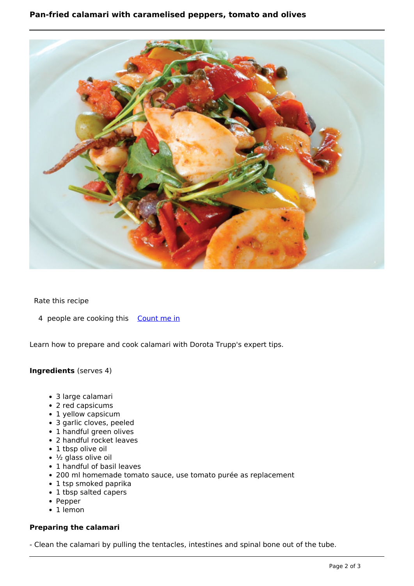

# Rate this recipe

4 people are cooking this [Count me in](https://www.naturalhealthmag.com.au/flag/flag/favorites/607?destination=printpdf%2F607&token=d159858e86c5fd637bbab7f157b98c17)

Learn how to prepare and cook calamari with Dorota Trupp's expert tips.

### **Ingredients** (serves 4)

- 3 large calamari
- 2 red capsicums
- 1 yellow capsicum
- 3 garlic cloves, peeled
- 1 handful green olives
- 2 handful rocket leaves
- 1 tbsp olive oil
- $\cdot$  ½ glass olive oil
- 1 handful of basil leaves
- 200 ml homemade tomato sauce, use tomato purée as replacement
- 1 tsp smoked paprika
- 1 tbsp salted capers
- Pepper
- 1 lemon

# **Preparing the calamari**

- Clean the calamari by pulling the tentacles, intestines and spinal bone out of the tube.